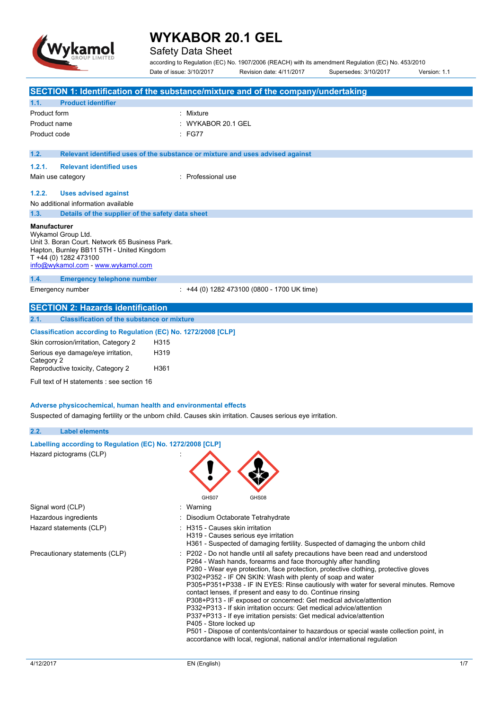

# Safety Data Sheet

according to Regulation (EC) No. 1907/2006 (REACH) with its amendment Regulation (EC) No. 453/2010 Date of issue: 3/10/2017 Revision date: 4/11/2017 Supersedes: 3/10/2017 Version: 1.1

|                                                                 | SECTION 1: Identification of the substance/mixture and of the company/undertaking                                                                                    |     |
|-----------------------------------------------------------------|----------------------------------------------------------------------------------------------------------------------------------------------------------------------|-----|
| <b>Product identifier</b>                                       |                                                                                                                                                                      |     |
| 1.1.<br>Product form                                            | : Mixture                                                                                                                                                            |     |
| Product name                                                    | WYKABOR 20.1 GEL                                                                                                                                                     |     |
|                                                                 | : FG77                                                                                                                                                               |     |
| Product code                                                    |                                                                                                                                                                      |     |
| 1.2.                                                            | Relevant identified uses of the substance or mixture and uses advised against                                                                                        |     |
| 1.2.1.<br><b>Relevant identified uses</b>                       |                                                                                                                                                                      |     |
| Main use category                                               | : Professional use                                                                                                                                                   |     |
| 1.2.2.<br><b>Uses advised against</b>                           |                                                                                                                                                                      |     |
| No additional information available                             |                                                                                                                                                                      |     |
| 1.3.<br>Details of the supplier of the safety data sheet        |                                                                                                                                                                      |     |
| Manufacturer                                                    |                                                                                                                                                                      |     |
| Wykamol Group Ltd.                                              |                                                                                                                                                                      |     |
| Unit 3. Boran Court. Network 65 Business Park.                  |                                                                                                                                                                      |     |
| Hapton, Burnley BB11 5TH - United Kingdom                       |                                                                                                                                                                      |     |
| T +44 (0) 1282 473100<br>info@wykamol.com - www.wykamol.com     |                                                                                                                                                                      |     |
|                                                                 |                                                                                                                                                                      |     |
| 1.4.<br><b>Emergency telephone number</b>                       |                                                                                                                                                                      |     |
| Emergency number                                                | : +44 (0) 1282 473100 (0800 - 1700 UK time)                                                                                                                          |     |
| <b>SECTION 2: Hazards identification</b>                        |                                                                                                                                                                      |     |
| 2.1.<br><b>Classification of the substance or mixture</b>       |                                                                                                                                                                      |     |
| Classification according to Regulation (EC) No. 1272/2008 [CLP] |                                                                                                                                                                      |     |
| Skin corrosion/irritation, Category 2<br>H315                   |                                                                                                                                                                      |     |
| Serious eye damage/eye irritation,<br>H319                      |                                                                                                                                                                      |     |
| Category 2                                                      |                                                                                                                                                                      |     |
| Reproductive toxicity, Category 2<br>H361                       |                                                                                                                                                                      |     |
| Full text of H statements : see section 16                      |                                                                                                                                                                      |     |
|                                                                 |                                                                                                                                                                      |     |
| Adverse physicochemical, human health and environmental effects |                                                                                                                                                                      |     |
|                                                                 | Suspected of damaging fertility or the unborn child. Causes skin irritation. Causes serious eye irritation.                                                          |     |
| 2.2.<br><b>Label elements</b>                                   |                                                                                                                                                                      |     |
|                                                                 |                                                                                                                                                                      |     |
| Labelling according to Regulation (EC) No. 1272/2008 [CLP]      |                                                                                                                                                                      |     |
| Hazard pictograms (CLP)                                         |                                                                                                                                                                      |     |
|                                                                 |                                                                                                                                                                      |     |
|                                                                 |                                                                                                                                                                      |     |
|                                                                 |                                                                                                                                                                      |     |
|                                                                 | GHS07<br>GHS08                                                                                                                                                       |     |
| Signal word (CLP)                                               | : Warning                                                                                                                                                            |     |
| Hazardous ingredients                                           | Disodium Octaborate Tetrahydrate                                                                                                                                     |     |
| Hazard statements (CLP)                                         | H315 - Causes skin irritation                                                                                                                                        |     |
|                                                                 | H319 - Causes serious eye irritation                                                                                                                                 |     |
|                                                                 | H361 - Suspected of damaging fertility. Suspected of damaging the unborn child                                                                                       |     |
| Precautionary statements (CLP)                                  | P202 - Do not handle until all safety precautions have been read and understood<br>P264 - Wash hands, forearms and face thoroughly after handling                    |     |
|                                                                 | P280 - Wear eye protection, face protection, protective clothing, protective gloves                                                                                  |     |
|                                                                 | P302+P352 - IF ON SKIN: Wash with plenty of soap and water                                                                                                           |     |
|                                                                 | P305+P351+P338 - IF IN EYES: Rinse cautiously with water for several minutes. Remove                                                                                 |     |
|                                                                 | contact lenses, if present and easy to do. Continue rinsing<br>P308+P313 - IF exposed or concerned: Get medical advice/attention                                     |     |
|                                                                 | P332+P313 - If skin irritation occurs: Get medical advice/attention                                                                                                  |     |
|                                                                 | P337+P313 - If eye irritation persists: Get medical advice/attention                                                                                                 |     |
|                                                                 | P405 - Store locked up                                                                                                                                               |     |
|                                                                 | P501 - Dispose of contents/container to hazardous or special waste collection point, in<br>accordance with local, regional, national and/or international regulation |     |
|                                                                 |                                                                                                                                                                      |     |
|                                                                 | EN (English)                                                                                                                                                         | 1/7 |
| 4/12/2017                                                       |                                                                                                                                                                      |     |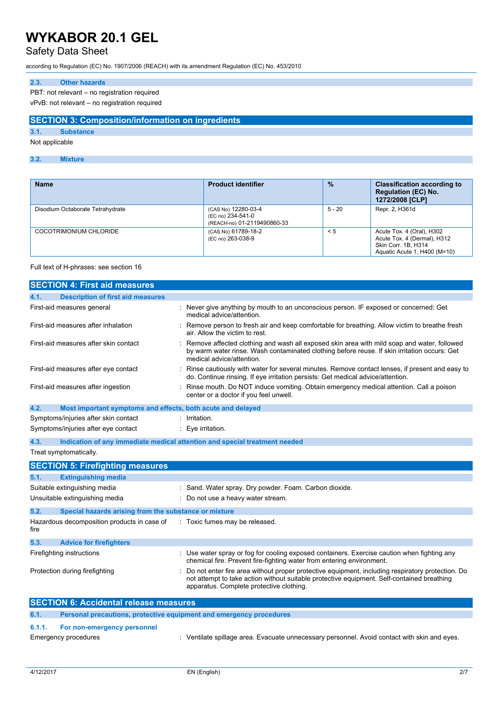# Safety Data Sheet

according to Regulation (EC) No. 1907/2006 (REACH) with its amendment Regulation (EC) No. 453/2010

## **2.3. Other hazards**

PBT: not relevant – no registration required

vPvB: not relevant – no registration required

### **SECTION 3: Composition/information on ingredients**

## **3.1. Substance**

Not applicable

### **3.2. Mixture**

| <b>Name</b>                      | <b>Product identifier</b>                                               | $\frac{9}{6}$ | <b>Classification according to</b><br><b>Regulation (EC) No.</b><br>1272/2008 [CLP]                             |
|----------------------------------|-------------------------------------------------------------------------|---------------|-----------------------------------------------------------------------------------------------------------------|
| Disodium Octaborate Tetrahydrate | (CAS No) 12280-03-4<br>(EC no) 234-541-0<br>(REACH-no) 01-2119490860-33 | $5 - 20$      | Repr. 2, H361d                                                                                                  |
| COCOTRIMONIUM CHLORIDE           | (CAS No) 61789-18-2<br>(EC no) 263-038-9                                | < 5           | Acute Tox. 4 (Oral), H302<br>Acute Tox. 4 (Dermal), H312<br>Skin Corr. 1B, H314<br>Aguatic Acute 1, H400 (M=10) |

#### Full text of H-phrases: see section 16

| <b>SECTION 4: First aid measures</b>                                        |                                                                                                                                                                                                                                            |
|-----------------------------------------------------------------------------|--------------------------------------------------------------------------------------------------------------------------------------------------------------------------------------------------------------------------------------------|
| <b>Description of first aid measures</b><br>4.1.                            |                                                                                                                                                                                                                                            |
| First-aid measures general                                                  | : Never give anything by mouth to an unconscious person. IF exposed or concerned: Get<br>medical advice/attention.                                                                                                                         |
| First-aid measures after inhalation                                         | Remove person to fresh air and keep comfortable for breathing. Allow victim to breathe fresh<br>air. Allow the victim to rest.                                                                                                             |
| First-aid measures after skin contact                                       | Remove affected clothing and wash all exposed skin area with mild soap and water, followed<br>by warm water rinse. Wash contaminated clothing before reuse. If skin irritation occurs: Get<br>medical advice/attention.                    |
| First-aid measures after eye contact                                        | Rinse cautiously with water for several minutes. Remove contact lenses, if present and easy to<br>do. Continue rinsing. If eye irritation persists: Get medical advice/attention.                                                          |
| First-aid measures after ingestion                                          | Rinse mouth. Do NOT induce vomiting. Obtain emergency medical attention. Call a poison<br>center or a doctor if you feel unwell.                                                                                                           |
| 4.2.<br>Most important symptoms and effects, both acute and delayed         |                                                                                                                                                                                                                                            |
| Symptoms/injuries after skin contact                                        | Irritation.                                                                                                                                                                                                                                |
| Symptoms/injuries after eye contact                                         | Eye irritation.<br>t.                                                                                                                                                                                                                      |
| 4.3.                                                                        | Indication of any immediate medical attention and special treatment needed                                                                                                                                                                 |
| Treat symptomatically.                                                      |                                                                                                                                                                                                                                            |
| <b>SECTION 5: Firefighting measures</b>                                     |                                                                                                                                                                                                                                            |
| <b>Extinguishing media</b><br>5.1.                                          |                                                                                                                                                                                                                                            |
| Suitable extinguishing media                                                | : Sand. Water spray. Dry powder. Foam. Carbon dioxide.                                                                                                                                                                                     |
| Unsuitable extinguishing media                                              | Do not use a heavy water stream.                                                                                                                                                                                                           |
| 5.2.<br>Special hazards arising from the substance or mixture               |                                                                                                                                                                                                                                            |
| Hazardous decomposition products in case of<br>fire                         | : Toxic fumes may be released.                                                                                                                                                                                                             |
| 5.3.<br><b>Advice for firefighters</b>                                      |                                                                                                                                                                                                                                            |
| Firefighting instructions                                                   | : Use water spray or fog for cooling exposed containers. Exercise caution when fighting any<br>chemical fire. Prevent fire-fighting water from entering environment.                                                                       |
| Protection during firefighting                                              | Do not enter fire area without proper protective equipment, including respiratory protection. Do<br>not attempt to take action without suitable protective equipment. Self-contained breathing<br>apparatus. Complete protective clothing. |
| <b>SECTION 6: Accidental release measures</b>                               |                                                                                                                                                                                                                                            |
| 6.1.<br>Personal precautions, protective equipment and emergency procedures |                                                                                                                                                                                                                                            |
|                                                                             |                                                                                                                                                                                                                                            |

## **6.1.1. For non-emergency personnel**

Emergency procedures **in the spillate spillage area.** Evacuate unnecessary personnel. Avoid contact with skin and eyes.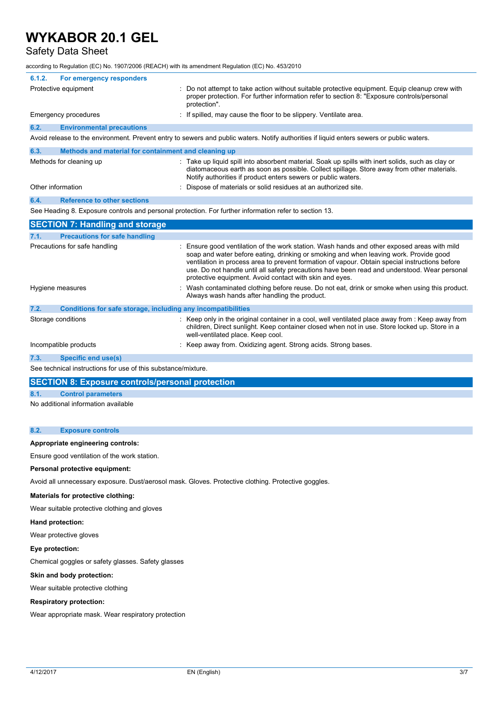## Safety Data Sheet

according to Regulation (EC) No. 1907/2006 (REACH) with its amendment Regulation (EC) No. 453/2010

|        | $\frac{1}{2}$ . The component $\frac{1}{2}$ of $\frac{1}{2}$ . The contract $\frac{1}{2}$ is the contract of the component $\frac{1}{2}$ . The contract of $\frac{1}{2}$ is the contract of $\frac{1}{2}$ is the contract of $\frac{1}{2}$ is the contract of |                                                                                                                                                                                                                                                                                                                                                                                                                                                 |
|--------|---------------------------------------------------------------------------------------------------------------------------------------------------------------------------------------------------------------------------------------------------------------|-------------------------------------------------------------------------------------------------------------------------------------------------------------------------------------------------------------------------------------------------------------------------------------------------------------------------------------------------------------------------------------------------------------------------------------------------|
| 6.1.2. | For emergency responders                                                                                                                                                                                                                                      |                                                                                                                                                                                                                                                                                                                                                                                                                                                 |
|        | Protective equipment                                                                                                                                                                                                                                          | Do not attempt to take action without suitable protective equipment. Equip cleanup crew with<br>proper protection. For further information refer to section 8: "Exposure controls/personal<br>protection".                                                                                                                                                                                                                                      |
|        | Emergency procedures                                                                                                                                                                                                                                          | : If spilled, may cause the floor to be slippery. Ventilate area.                                                                                                                                                                                                                                                                                                                                                                               |
| 6.2.   | <b>Environmental precautions</b>                                                                                                                                                                                                                              |                                                                                                                                                                                                                                                                                                                                                                                                                                                 |
|        |                                                                                                                                                                                                                                                               | Avoid release to the environment. Prevent entry to sewers and public waters. Notify authorities if liquid enters sewers or public waters.                                                                                                                                                                                                                                                                                                       |
| 6.3.   | Methods and material for containment and cleaning up                                                                                                                                                                                                          |                                                                                                                                                                                                                                                                                                                                                                                                                                                 |
|        | Methods for cleaning up                                                                                                                                                                                                                                       | : Take up liquid spill into absorbent material. Soak up spills with inert solids, such as clay or<br>diatomaceous earth as soon as possible. Collect spillage. Store away from other materials.<br>Notify authorities if product enters sewers or public waters.                                                                                                                                                                                |
|        | Other information                                                                                                                                                                                                                                             | Dispose of materials or solid residues at an authorized site.                                                                                                                                                                                                                                                                                                                                                                                   |
| 6.4.   | <b>Reference to other sections</b>                                                                                                                                                                                                                            |                                                                                                                                                                                                                                                                                                                                                                                                                                                 |
|        |                                                                                                                                                                                                                                                               | See Heading 8. Exposure controls and personal protection. For further information refer to section 13.                                                                                                                                                                                                                                                                                                                                          |
|        | <b>SECTION 7: Handling and storage</b>                                                                                                                                                                                                                        |                                                                                                                                                                                                                                                                                                                                                                                                                                                 |
| 7.1.   | <b>Precautions for safe handling</b>                                                                                                                                                                                                                          |                                                                                                                                                                                                                                                                                                                                                                                                                                                 |
|        | Precautions for safe handling                                                                                                                                                                                                                                 | Ensure good ventilation of the work station. Wash hands and other exposed areas with mild<br>soap and water before eating, drinking or smoking and when leaving work. Provide good<br>ventilation in process area to prevent formation of vapour. Obtain special instructions before<br>use. Do not handle until all safety precautions have been read and understood. Wear personal<br>protective equipment. Avoid contact with skin and eyes. |
|        | Hygiene measures                                                                                                                                                                                                                                              | Wash contaminated clothing before reuse. Do not eat, drink or smoke when using this product.<br>Always wash hands after handling the product.                                                                                                                                                                                                                                                                                                   |
| 7.2.   | Conditions for safe storage, including any incompatibilities                                                                                                                                                                                                  |                                                                                                                                                                                                                                                                                                                                                                                                                                                 |
|        | Storage conditions                                                                                                                                                                                                                                            | : Keep only in the original container in a cool, well ventilated place away from : Keep away from<br>children, Direct sunlight. Keep container closed when not in use. Store locked up. Store in a<br>well-ventilated place. Keep cool.                                                                                                                                                                                                         |
|        | Incompatible products                                                                                                                                                                                                                                         | Keep away from. Oxidizing agent. Strong acids. Strong bases.                                                                                                                                                                                                                                                                                                                                                                                    |
| 7.3.   | <b>Specific end use(s)</b>                                                                                                                                                                                                                                    |                                                                                                                                                                                                                                                                                                                                                                                                                                                 |
|        | See technical instructions for use of this substance/mixture.                                                                                                                                                                                                 |                                                                                                                                                                                                                                                                                                                                                                                                                                                 |
|        | <b>SECTION 8: Exposure controls/personal protection</b>                                                                                                                                                                                                       |                                                                                                                                                                                                                                                                                                                                                                                                                                                 |
| 8.1.   | <b>Control parameters</b>                                                                                                                                                                                                                                     |                                                                                                                                                                                                                                                                                                                                                                                                                                                 |
|        |                                                                                                                                                                                                                                                               |                                                                                                                                                                                                                                                                                                                                                                                                                                                 |

No additional information available

## **8.2. Exposure controls**

**Appropriate engineering controls:**

Ensure good ventilation of the work station.

## **Personal protective equipment:**

Avoid all unnecessary exposure. Dust/aerosol mask. Gloves. Protective clothing. Protective goggles.

## **Materials for protective clothing:**

Wear suitable protective clothing and gloves

#### **Hand protection:**

Wear protective gloves

## **Eye protection:**

Chemical goggles or safety glasses. Safety glasses

### **Skin and body protection:**

Wear suitable protective clothing

## **Respiratory protection:**

Wear appropriate mask. Wear respiratory protection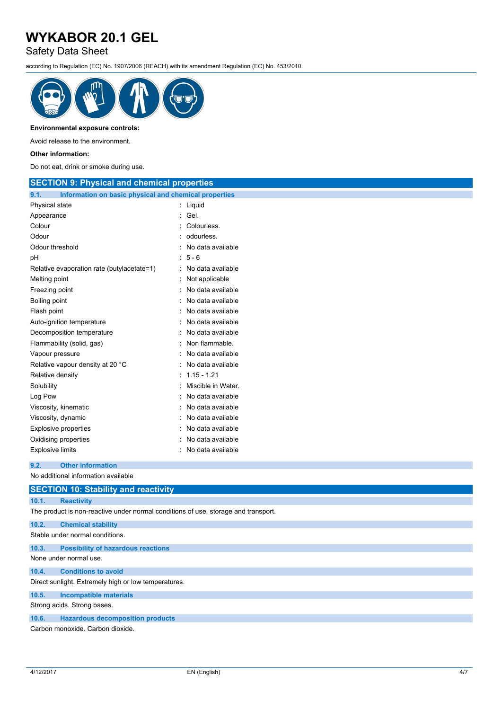Safety Data Sheet

according to Regulation (EC) No. 1907/2006 (REACH) with its amendment Regulation (EC) No. 453/2010



### **Environmental exposure controls:**

Avoid release to the environment.

#### **Other information:**

Do not eat, drink or smoke during use.

| <b>SECTION 9: Physical and chemical properties</b>            |                     |
|---------------------------------------------------------------|---------------------|
| 9.1.<br>Information on basic physical and chemical properties |                     |
| Physical state                                                | : Liquid            |
| Appearance                                                    | : Gel.              |
| Colour                                                        | Colourless.         |
| Odour                                                         | odourless.          |
| Odour threshold                                               | No data available   |
| рH                                                            | $5 - 6$             |
| Relative evaporation rate (butylacetate=1)                    | : No data available |
| Melting point                                                 | Not applicable      |
| Freezing point                                                | No data available   |
| Boiling point                                                 | No data available   |
| Flash point                                                   | No data available   |
| Auto-ignition temperature                                     | No data available   |
| Decomposition temperature                                     | No data available   |
| Flammability (solid, gas)                                     | Non flammable.      |
| Vapour pressure                                               | No data available   |
| Relative vapour density at 20 °C                              | : No data available |
| Relative density                                              | $1.15 - 1.21$       |
| Solubility                                                    | Miscible in Water.  |
| Log Pow                                                       | No data available   |
| Viscosity, kinematic                                          | No data available   |
| Viscosity, dynamic                                            | No data available   |
| <b>Explosive properties</b>                                   | No data available   |
| Oxidising properties                                          | No data available   |
| <b>Explosive limits</b>                                       | : No data available |
| 9.2.<br><b>Other information</b>                              |                     |
| No additional information available                           |                     |
| <b>SECTION 10: Stability and reactivity</b>                   |                     |

## **10.1. Reactivity**

The product is non-reactive under normal conditions of use, storage and transport.

# **10.2. Chemical stability**

Stable under normal conditions. **10.3. Possibility of hazardous reactions** None under normal use.

## **10.4. Conditions to avoid**

Direct sunlight. Extremely high or low temperatures.

# **10.5. Incompatible materials**

Strong acids. Strong bases.

### **10.6. Hazardous decomposition products**

Carbon monoxide. Carbon dioxide.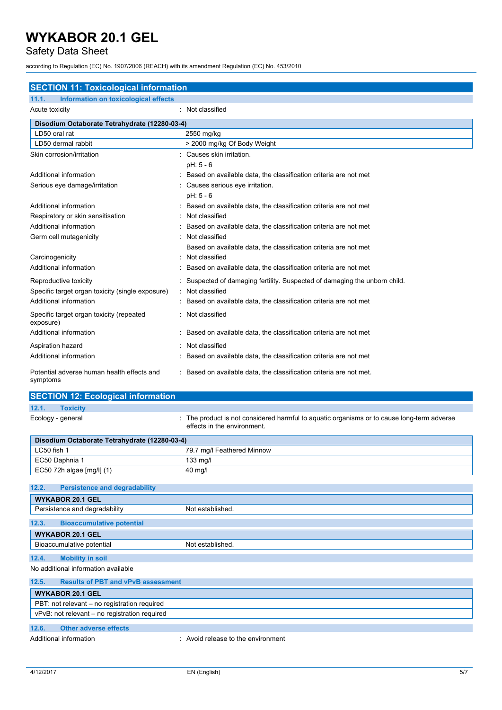Safety Data Sheet

according to Regulation (EC) No. 1907/2006 (REACH) with its amendment Regulation (EC) No. 453/2010

| <b>SECTION 11: Toxicological information</b>           |                                                                          |  |  |
|--------------------------------------------------------|--------------------------------------------------------------------------|--|--|
| Information on toxicological effects<br>11.1.          |                                                                          |  |  |
| Acute toxicity                                         | : Not classified                                                         |  |  |
| Disodium Octaborate Tetrahydrate (12280-03-4)          |                                                                          |  |  |
| LD50 oral rat                                          | 2550 mg/kg                                                               |  |  |
| LD50 dermal rabbit                                     | > 2000 mg/kg Of Body Weight                                              |  |  |
| Skin corrosion/irritation                              | Causes skin irritation.                                                  |  |  |
|                                                        | $pH: 5 - 6$                                                              |  |  |
| Additional information                                 | Based on available data, the classification criteria are not met         |  |  |
| Serious eye damage/irritation                          | Causes serious eye irritation.                                           |  |  |
|                                                        | $pH: 5 - 6$                                                              |  |  |
| Additional information                                 | Based on available data, the classification criteria are not met         |  |  |
| Respiratory or skin sensitisation                      | Not classified                                                           |  |  |
| Additional information                                 | Based on available data, the classification criteria are not met         |  |  |
| Germ cell mutagenicity                                 | Not classified                                                           |  |  |
|                                                        | Based on available data, the classification criteria are not met         |  |  |
| Carcinogenicity                                        | Not classified                                                           |  |  |
| Additional information                                 | Based on available data, the classification criteria are not met         |  |  |
| Reproductive toxicity                                  | Suspected of damaging fertility. Suspected of damaging the unborn child. |  |  |
| Specific target organ toxicity (single exposure)       | Not classified                                                           |  |  |
| Additional information                                 | Based on available data, the classification criteria are not met         |  |  |
| Specific target organ toxicity (repeated<br>exposure)  | Not classified                                                           |  |  |
| Additional information                                 | Based on available data, the classification criteria are not met         |  |  |
| Aspiration hazard                                      | Not classified                                                           |  |  |
| Additional information                                 | Based on available data, the classification criteria are not met         |  |  |
| Potential adverse human health effects and<br>symptoms | Based on available data, the classification criteria are not met.        |  |  |

# **SECTION 12: Ecological information**

**12.1. Toxicity**

Ecology - general **interproduct is not considered harmful to aquatic organisms or to cause long-term adverse** effects in the environment.

| Disodium Octaborate Tetrahydrate (12280-03-4)      |                                    |  |
|----------------------------------------------------|------------------------------------|--|
| LC50 fish 1<br>79.7 mg/l Feathered Minnow          |                                    |  |
| EC50 Daphnia 1<br>133 mg/l                         |                                    |  |
| EC50 72h algae [mg/l] (1)                          | 40 mg/l                            |  |
|                                                    |                                    |  |
| 12.2.<br><b>Persistence and degradability</b>      |                                    |  |
| <b>WYKABOR 20.1 GEL</b>                            |                                    |  |
| Persistence and degradability                      | Not established.                   |  |
| 12.3.<br><b>Bioaccumulative potential</b>          |                                    |  |
| <b>WYKABOR 20.1 GEL</b>                            |                                    |  |
| Bioaccumulative potential                          | Not established.                   |  |
| <b>Mobility in soil</b><br>12.4.                   |                                    |  |
| No additional information available                |                                    |  |
| <b>Results of PBT and vPvB assessment</b><br>12.5. |                                    |  |
| <b>WYKABOR 20.1 GEL</b>                            |                                    |  |
| PBT: not relevant – no registration required       |                                    |  |
| vPvB: not relevant - no registration required      |                                    |  |
| 12.6.<br><b>Other adverse effects</b>              |                                    |  |
| Additional information                             | : Avoid release to the environment |  |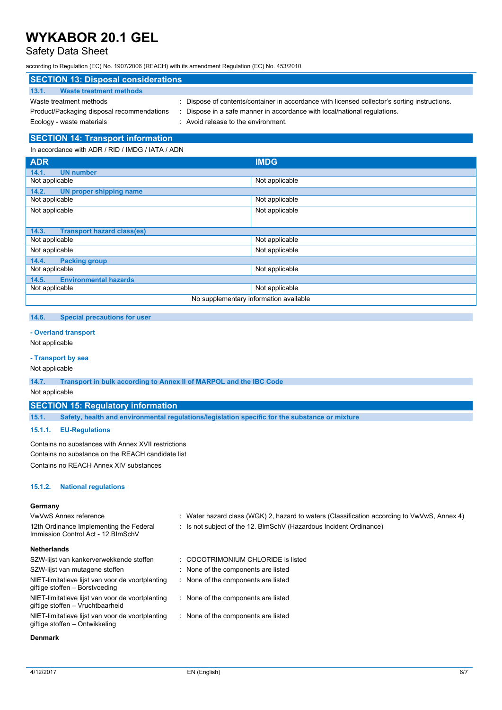# Safety Data Sheet

according to Regulation (EC) No. 1907/2006 (REACH) with its amendment Regulation (EC) No. 453/2010

| <b>SECTION 13: Disposal considerations</b> |                                                                                               |  |  |
|--------------------------------------------|-----------------------------------------------------------------------------------------------|--|--|
| 13.1.<br>Waste treatment methods           |                                                                                               |  |  |
| Waste treatment methods                    | : Dispose of contents/container in accordance with licensed collector's sorting instructions. |  |  |
| Product/Packaging disposal recommendations | Dispose in a safe manner in accordance with local/national regulations.                       |  |  |
| Ecology - waste materials                  | : Avoid release to the environment.                                                           |  |  |

### **SECTION 14: Transport information**

In accordance with ADR / RID / IMDG / IATA / ADN

| <b>ADR</b>                                 | <b>IMDG</b>                            |
|--------------------------------------------|----------------------------------------|
| <b>UN number</b><br>14.1.                  |                                        |
| Not applicable                             | Not applicable                         |
| 14.2.<br>UN proper shipping name           |                                        |
| Not applicable                             | Not applicable                         |
| Not applicable                             | Not applicable                         |
|                                            |                                        |
| <b>Transport hazard class(es)</b><br>14.3. |                                        |
| Not applicable                             | Not applicable                         |
| Not applicable                             | Not applicable                         |
| 14.4.<br><b>Packing group</b>              |                                        |
| Not applicable                             | Not applicable                         |
| <b>Environmental hazards</b><br>14.5.      |                                        |
| Not applicable                             | Not applicable                         |
|                                            | No supplementary information available |

#### **14.6. Special precautions for user**

#### **- Overland transport**

Not applicable

### **- Transport by sea**

Not applicable

**14.7. Transport in bulk according to Annex II of MARPOL and the IBC Code**

Not applicable

#### **SECTION 15: Regulatory information**

**15.1. Safety, health and environmental regulations/legislation specific for the substance or mixture**

#### **15.1.1. EU-Regulations**

Contains no substances with Annex XVII restrictions Contains no substance on the REACH candidate list Contains no REACH Annex XIV substances

#### **15.1.2. National regulations**

#### **Germany** VwVwS Annex reference : Water hazard class (WGK) 2, hazard to waters (Classification according to VwVwS, Annex 4) 12th Ordinance Implementing the Federal Immission Control Act - 12.BImSchV : Is not subject of the 12. BlmSchV (Hazardous Incident Ordinance) **Netherlands** SZW-lijst van kankerverwekkende stoffen : COCOTRIMONIUM CHLORIDE is listed SZW-lijst van mutagene stoffen : None of the components are listed NIET-limitatieve lijst van voor de voortplanting giftige stoffen – Borstvoeding : None of the components are listed NIET-limitatieve lijst van voor de voortplanting giftige stoffen – Vruchtbaarheid : None of the components are listed NIET-limitatieve lijst van voor de voortplanting giftige stoffen – Ontwikkeling : None of the components are listed

#### **Denmark**